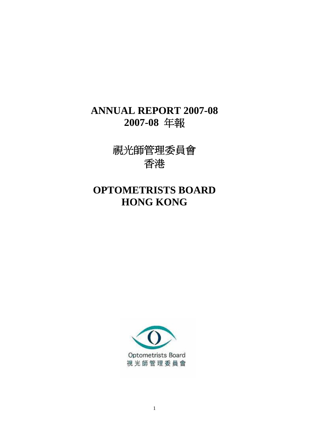# **ANNUAL REPORT 2007-08 2007-08** 年報

視光師管理委員會 香港

# **OPTOMETRISTS BOARD HONG KONG**

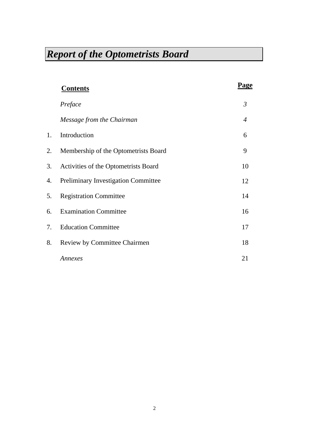|    | <b>Contents</b>                            | Page           |
|----|--------------------------------------------|----------------|
|    | Preface                                    | $\mathfrak{Z}$ |
|    | Message from the Chairman                  | 4              |
| 1. | Introduction                               | 6              |
| 2. | Membership of the Optometrists Board       | 9              |
| 3. | Activities of the Optometrists Board       | 10             |
| 4. | <b>Preliminary Investigation Committee</b> | 12             |
| 5. | <b>Registration Committee</b>              | 14             |
| 6. | <b>Examination Committee</b>               | 16             |
| 7. | <b>Education Committee</b>                 | 17             |
| 8. | <b>Review by Committee Chairmen</b>        | 18             |
|    | Annexes                                    | 21             |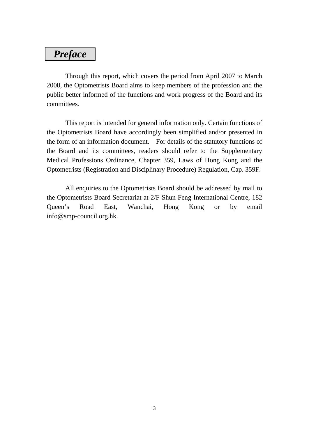# *Preface*

 Through this report, which covers the period from April 2007 to March 2008, the Optometrists Board aims to keep members of the profession and the public better informed of the functions and work progress of the Board and its committees.

 This report is intended for general information only. Certain functions of the Optometrists Board have accordingly been simplified and/or presented in the form of an information document. For details of the statutory functions of the Board and its committees, readers should refer to the Supplementary Medical Professions Ordinance, Chapter 359, Laws of Hong Kong and the Optometrists (Registration and Disciplinary Procedure) Regulation, Cap. 359F.

 All enquiries to the Optometrists Board should be addressed by mail to the Optometrists Board Secretariat at 2/F Shun Feng International Centre, 182 Queen's Road East, Wanchai, Hong Kong or by email info@smp-council.org.hk.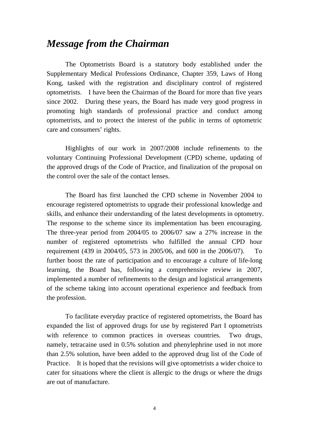# *Message from the Chairman*

 The Optometrists Board is a statutory body established under the Supplementary Medical Professions Ordinance, Chapter 359, Laws of Hong Kong, tasked with the registration and disciplinary control of registered optometrists. I have been the Chairman of the Board for more than five years since 2002. During these years, the Board has made very good progress in promoting high standards of professional practice and conduct among optometrists, and to protect the interest of the public in terms of optometric care and consumers' rights.

 Highlights of our work in 2007/2008 include refinements to the voluntary Continuing Professional Development (CPD) scheme, updating of the approved drugs of the Code of Practice, and finalization of the proposal on the control over the sale of the contact lenses.

 The Board has first launched the CPD scheme in November 2004 to encourage registered optometrists to upgrade their professional knowledge and skills, and enhance their understanding of the latest developments in optometry. The response to the scheme since its implementation has been encouraging. The three-year period from 2004/05 to 2006/07 saw a 27% increase in the number of registered optometrists who fulfilled the annual CPD hour requirement (439 in 2004/05, 573 in 2005/06, and 600 in the 2006/07). To further boost the rate of participation and to encourage a culture of life-long learning, the Board has, following a comprehensive review in 2007, implemented a number of refinements to the design and logistical arrangements of the scheme taking into account operational experience and feedback from the profession.

 To facilitate everyday practice of registered optometrists, the Board has expanded the list of approved drugs for use by registered Part I optometrists with reference to common practices in overseas countries. Two drugs, namely, tetracaine used in 0.5% solution and phenylephrine used in not more than 2.5% solution, have been added to the approved drug list of the Code of Practice. It is hoped that the revisions will give optometrists a wider choice to cater for situations where the client is allergic to the drugs or where the drugs are out of manufacture.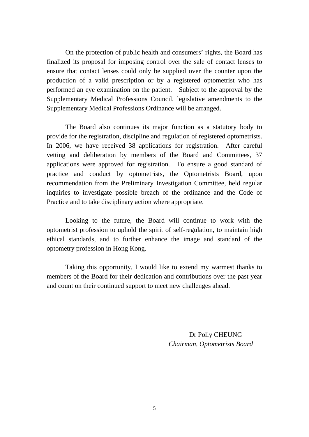On the protection of public health and consumers' rights, the Board has finalized its proposal for imposing control over the sale of contact lenses to ensure that contact lenses could only be supplied over the counter upon the production of a valid prescription or by a registered optometrist who has performed an eye examination on the patient. Subject to the approval by the Supplementary Medical Professions Council, legislative amendments to the Supplementary Medical Professions Ordinance will be arranged.

 The Board also continues its major function as a statutory body to provide for the registration, discipline and regulation of registered optometrists. In 2006, we have received 38 applications for registration. After careful vetting and deliberation by members of the Board and Committees, 37 applications were approved for registration. To ensure a good standard of practice and conduct by optometrists, the Optometrists Board, upon recommendation from the Preliminary Investigation Committee, held regular inquiries to investigate possible breach of the ordinance and the Code of Practice and to take disciplinary action where appropriate.

 Looking to the future, the Board will continue to work with the optometrist profession to uphold the spirit of self-regulation, to maintain high ethical standards, and to further enhance the image and standard of the optometry profession in Hong Kong.

Taking this opportunity, I would like to extend my warmest thanks to members of the Board for their dedication and contributions over the past year and count on their continued support to meet new challenges ahead.

> Dr Polly CHEUNG *Chairman, Optometrists Board*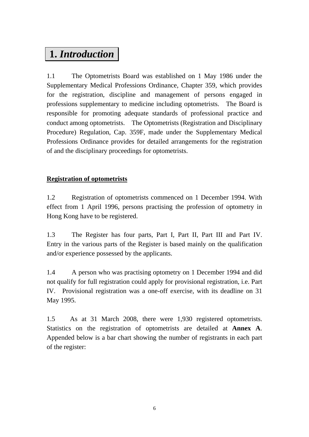# **1.** *Introduction*

1.1 The Optometrists Board was established on 1 May 1986 under the Supplementary Medical Professions Ordinance, Chapter 359, which provides for the registration, discipline and management of persons engaged in professions supplementary to medicine including optometrists. The Board is responsible for promoting adequate standards of professional practice and conduct among optometrists. The Optometrists (Registration and Disciplinary Procedure) Regulation, Cap. 359F, made under the Supplementary Medical Professions Ordinance provides for detailed arrangements for the registration of and the disciplinary proceedings for optometrists.

## **Registration of optometrists**

1.2 Registration of optometrists commenced on 1 December 1994. With effect from 1 April 1996, persons practising the profession of optometry in Hong Kong have to be registered.

1.3 The Register has four parts, Part I, Part II, Part III and Part IV. Entry in the various parts of the Register is based mainly on the qualification and/or experience possessed by the applicants.

1.4 A person who was practising optometry on 1 December 1994 and did not qualify for full registration could apply for provisional registration, i.e. Part IV. Provisional registration was a one-off exercise, with its deadline on 31 May 1995.

1.5 As at 31 March 2008, there were 1,930 registered optometrists. Statistics on the registration of optometrists are detailed at **Annex A**. Appended below is a bar chart showing the number of registrants in each part of the register: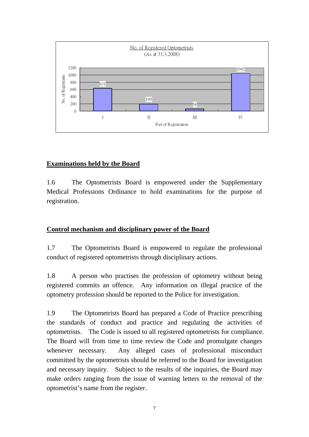

## **Examinations held by the Board**

1.6 The Optometrists Board is empowered under the Supplementary Medical Professions Ordinance to hold examinations for the purpose of registration.

## **Control mechanism and disciplinary power of the Board**

1.7 The Optometrists Board is empowered to regulate the professional conduct of registered optometrists through disciplinary actions.

1.8 A person who practises the profession of optometry without being registered commits an offence. Any information on illegal practice of the optometry profession should be reported to the Police for investigation.

1.9 The Optometrists Board has prepared a Code of Practice prescribing the standards of conduct and practice and regulating the activities of optometrists. The Code is issued to all registered optometrists for compliance. The Board will from time to time review the Code and promulgate changes whenever necessary. Any alleged cases of professional misconduct committed by the optometrists should be referred to the Board for investigation and necessary inquiry. Subject to the results of the inquiries, the Board may make orders ranging from the issue of warning letters to the removal of the optometrist's name from the register.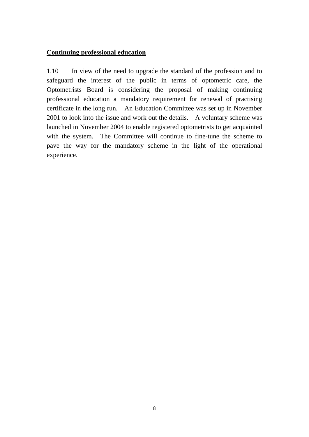### **Continuing professional education**

1.10 In view of the need to upgrade the standard of the profession and to safeguard the interest of the public in terms of optometric care, the Optometrists Board is considering the proposal of making continuing professional education a mandatory requirement for renewal of practising certificate in the long run. An Education Committee was set up in November 2001 to look into the issue and work out the details. A voluntary scheme was launched in November 2004 to enable registered optometrists to get acquainted with the system. The Committee will continue to fine-tune the scheme to pave the way for the mandatory scheme in the light of the operational experience.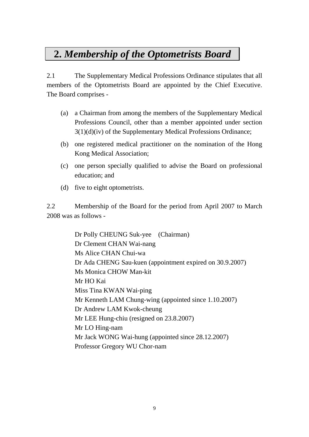# **2.** *Membership of the Optometrists Board*

2.1 The Supplementary Medical Professions Ordinance stipulates that all members of the Optometrists Board are appointed by the Chief Executive. The Board comprises -

- (a) a Chairman from among the members of the Supplementary Medical Professions Council, other than a member appointed under section 3(1)(d)(iv) of the Supplementary Medical Professions Ordinance;
- (b) one registered medical practitioner on the nomination of the Hong Kong Medical Association;
- (c) one person specially qualified to advise the Board on professional education; and
- (d) five to eight optometrists.

2.2 Membership of the Board for the period from April 2007 to March 2008 was as follows -

> Dr Polly CHEUNG Suk-yee (Chairman) Dr Clement CHAN Wai-nang Ms Alice CHAN Chui-wa Dr Ada CHENG Sau-kuen (appointment expired on 30.9.2007) Ms Monica CHOW Man-kit Mr HO Kai Miss Tina KWAN Wai-ping Mr Kenneth LAM Chung-wing (appointed since 1.10.2007) Dr Andrew LAM Kwok-cheung Mr LEE Hung-chiu (resigned on 23.8.2007) Mr LO Hing-nam Mr Jack WONG Wai-hung (appointed since 28.12.2007) Professor Gregory WU Chor-nam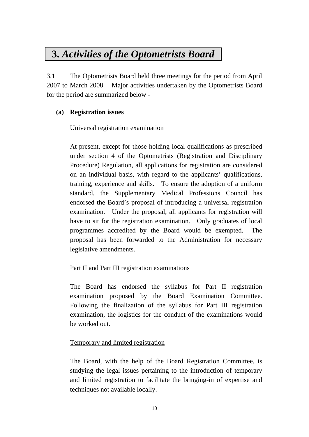# **3.** *Activities of the Optometrists Board*

3.1 The Optometrists Board held three meetings for the period from April 2007 to March 2008. Major activities undertaken by the Optometrists Board for the period are summarized below -

### **(a) Registration issues**

### Universal registration examination

At present, except for those holding local qualifications as prescribed under section 4 of the Optometrists (Registration and Disciplinary Procedure) Regulation, all applications for registration are considered on an individual basis, with regard to the applicants' qualifications, training, experience and skills. To ensure the adoption of a uniform standard, the Supplementary Medical Professions Council has endorsed the Board's proposal of introducing a universal registration examination. Under the proposal, all applicants for registration will have to sit for the registration examination. Only graduates of local programmes accredited by the Board would be exempted. The proposal has been forwarded to the Administration for necessary legislative amendments.

## Part II and Part III registration examinations

The Board has endorsed the syllabus for Part II registration examination proposed by the Board Examination Committee. Following the finalization of the syllabus for Part III registration examination, the logistics for the conduct of the examinations would be worked out.

#### Temporary and limited registration

The Board, with the help of the Board Registration Committee, is studying the legal issues pertaining to the introduction of temporary and limited registration to facilitate the bringing-in of expertise and techniques not available locally.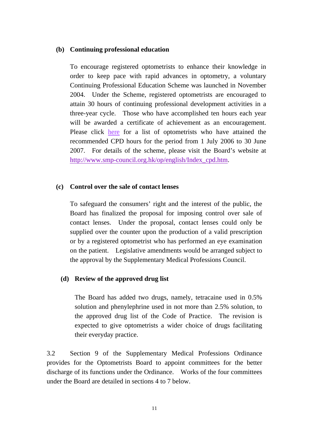#### **(b) Continuing professional education**

To encourage registered optometrists to enhance their knowledge in order to keep pace with rapid advances in optometry, a voluntary Continuing Professional Education Scheme was launched in November 2004. Under the Scheme, registered optometrists are encouraged to attain 30 hours of continuing professional development activities in a three-year cycle. Those who have accomplished ten hours each year will be awarded a certificate of achievement as an encouragement. Please click [here](http://www.smp-council.org.hk/op/list_opCPD0607_e.pdf) for a list of optometrists who have attained the recommended CPD hours for the period from 1 July 2006 to 30 June 2007. For details of the scheme, please visit the Board's website at [http://www.smp-council.org.hk/op/english/Index\\_cpd.htm.](http://www.smp-council.org.hk/op/english/index-cpd.htm)

### **(c) Control over the sale of contact lenses**

To safeguard the consumers' right and the interest of the public, the Board has finalized the proposal for imposing control over sale of contact lenses. Under the proposal, contact lenses could only be supplied over the counter upon the production of a valid prescription or by a registered optometrist who has performed an eye examination on the patient. Legislative amendments would be arranged subject to the approval by the Supplementary Medical Professions Council.

## **(d) Review of the approved drug list**

 The Board has added two drugs, namely, tetracaine used in 0.5% solution and phenylephrine used in not more than 2.5% solution, to the approved drug list of the Code of Practice. The revision is expected to give optometrists a wider choice of drugs facilitating their everyday practice.

3.2 Section 9 of the Supplementary Medical Professions Ordinance provides for the Optometrists Board to appoint committees for the better discharge of its functions under the Ordinance. Works of the four committees under the Board are detailed in sections 4 to 7 below.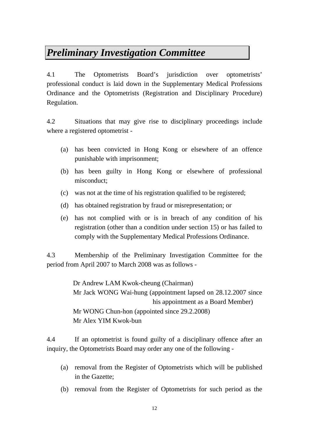# *Preliminary Investigation Committee*

4.1 The Optometrists Board's jurisdiction over optometrists' professional conduct is laid down in the Supplementary Medical Professions Ordinance and the Optometrists (Registration and Disciplinary Procedure) Regulation.

4.2 Situations that may give rise to disciplinary proceedings include where a registered optometrist -

- (a) has been convicted in Hong Kong or elsewhere of an offence punishable with imprisonment;
- (b) has been guilty in Hong Kong or elsewhere of professional misconduct;
- (c) was not at the time of his registration qualified to be registered;
- (d) has obtained registration by fraud or misrepresentation; or
- (e) has not complied with or is in breach of any condition of his registration (other than a condition under section 15) or has failed to comply with the Supplementary Medical Professions Ordinance.

4.3 Membership of the Preliminary Investigation Committee for the period from April 2007 to March 2008 was as follows -

> Dr Andrew LAM Kwok-cheung (Chairman) Mr Jack WONG Wai-hung (appointment lapsed on 28.12.2007 since his appointment as a Board Member) Mr WONG Chun-hon (appointed since 29.2.2008) Mr Alex YIM Kwok-bun

4.4 If an optometrist is found guilty of a disciplinary offence after an inquiry, the Optometrists Board may order any one of the following -

- (a) removal from the Register of Optometrists which will be published in the Gazette;
- (b) removal from the Register of Optometrists for such period as the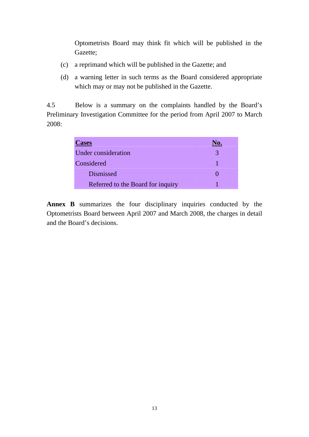Optometrists Board may think fit which will be published in the Gazette;

- (c) a reprimand which will be published in the Gazette; and
- (d) a warning letter in such terms as the Board considered appropriate which may or may not be published in the Gazette.

4.5 Below is a summary on the complaints handled by the Board's Preliminary Investigation Committee for the period from April 2007 to March 2008:

| <b>Cases</b>                      | No. |
|-----------------------------------|-----|
| Under consideration               |     |
| Considered                        |     |
| <b>Dismissed</b>                  |     |
| Referred to the Board for inquiry |     |

**Annex B** summarizes the four disciplinary inquiries conducted by the Optometrists Board between April 2007 and March 2008, the charges in detail and the Board's decisions.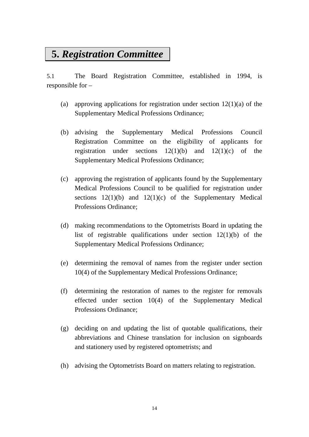# **5.** *Registration Committee*

5.1 The Board Registration Committee, established in 1994, is responsible for –

- (a) approving applications for registration under section  $12(1)(a)$  of the Supplementary Medical Professions Ordinance;
- (b) advising the Supplementary Medical Professions Council Registration Committee on the eligibility of applicants for registration under sections  $12(1)(b)$  and  $12(1)(c)$  of the Supplementary Medical Professions Ordinance;
- (c) approving the registration of applicants found by the Supplementary Medical Professions Council to be qualified for registration under sections  $12(1)(b)$  and  $12(1)(c)$  of the Supplementary Medical Professions Ordinance;
- (d) making recommendations to the Optometrists Board in updating the list of registrable qualifications under section 12(1)(b) of the Supplementary Medical Professions Ordinance;
- (e) determining the removal of names from the register under section 10(4) of the Supplementary Medical Professions Ordinance;
- (f) determining the restoration of names to the register for removals effected under section 10(4) of the Supplementary Medical Professions Ordinance;
- (g) deciding on and updating the list of quotable qualifications, their abbreviations and Chinese translation for inclusion on signboards and stationery used by registered optometrists; and
- (h) advising the Optometrists Board on matters relating to registration.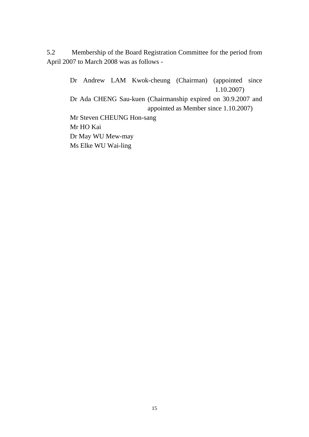5.2 Membership of the Board Registration Committee for the period from April 2007 to March 2008 was as follows -

> Dr Andrew LAM Kwok-cheung (Chairman) (appointed since 1.10.2007) Dr Ada CHENG Sau-kuen (Chairmanship expired on 30.9.2007 and appointed as Member since 1.10.2007) Mr Steven CHEUNG Hon-sang Mr HO Kai Dr May WU Mew-may Ms Elke WU Wai-ling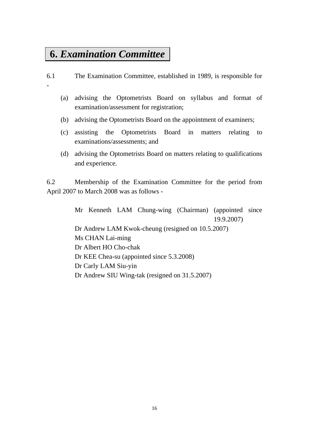# **6.** *Examination Committee*

-

- 6.1 The Examination Committee, established in 1989, is responsible for
	- (a) advising the Optometrists Board on syllabus and format of examination/assessment for registration;
	- (b) advising the Optometrists Board on the appointment of examiners;
	- (c) assisting the Optometrists Board in matters relating to examinations/assessments; and
	- (d) advising the Optometrists Board on matters relating to qualifications and experience.

6.2 Membership of the Examination Committee for the period from April 2007 to March 2008 was as follows -

> Mr Kenneth LAM Chung-wing (Chairman) (appointed since 19.9.2007) Dr Andrew LAM Kwok-cheung (resigned on 10.5.2007) Ms CHAN Lai-ming Dr Albert HO Cho-chak Dr KEE Chea-su (appointed since 5.3.2008) Dr Carly LAM Siu-yin Dr Andrew SIU Wing-tak (resigned on 31.5.2007)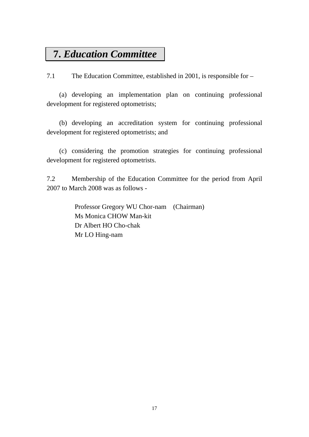# **7.** *Education Committee*

7.1 The Education Committee, established in 2001, is responsible for –

(a) developing an implementation plan on continuing professional development for registered optometrists;

(b) developing an accreditation system for continuing professional development for registered optometrists; and

(c) considering the promotion strategies for continuing professional development for registered optometrists.

7.2 Membership of the Education Committee for the period from April 2007 to March 2008 was as follows -

> Professor Gregory WU Chor-nam (Chairman) Ms Monica CHOW Man-kit Dr Albert HO Cho-chak Mr LO Hing-nam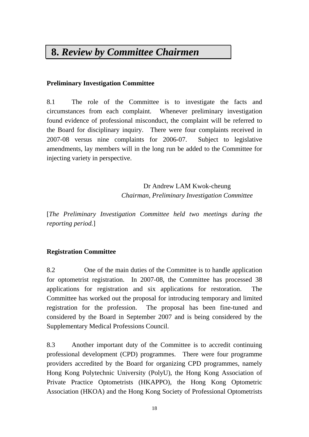# **8.** *Review by Committee Chairmen*

## **Preliminary Investigation Committee**

8.1 The role of the Committee is to investigate the facts and circumstances from each complaint. Whenever preliminary investigation found evidence of professional misconduct, the complaint will be referred to the Board for disciplinary inquiry. There were four complaints received in 2007-08 versus nine complaints for 2006-07. Subject to legislative amendments, lay members will in the long run be added to the Committee for injecting variety in perspective.

> Dr Andrew LAM Kwok-cheung *Chairman, Preliminary Investigation Committee*

[*The Preliminary Investigation Committee held two meetings during the reporting period.*]

## **Registration Committee**

8.2 One of the main duties of the Committee is to handle application for optometrist registration. In 2007-08, the Committee has processed 38 applications for registration and six applications for restoration. The Committee has worked out the proposal for introducing temporary and limited registration for the profession. The proposal has been fine-tuned and considered by the Board in September 2007 and is being considered by the Supplementary Medical Professions Council.

8.3 Another important duty of the Committee is to accredit continuing professional development (CPD) programmes. There were four programme providers accredited by the Board for organizing CPD programmes, namely Hong Kong Polytechnic University (PolyU), the Hong Kong Association of Private Practice Optometrists (HKAPPO), the Hong Kong Optometric Association (HKOA) and the Hong Kong Society of Professional Optometrists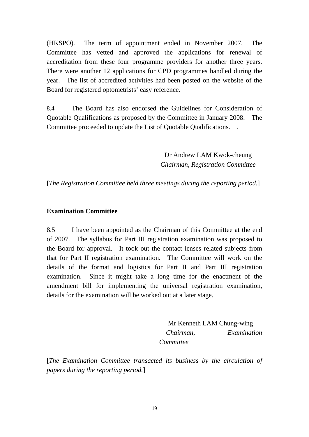(HKSPO). The term of appointment ended in November 2007. The Committee has vetted and approved the applications for renewal of accreditation from these four programme providers for another three years. There were another 12 applications for CPD programmes handled during the year. The list of accredited activities had been posted on the website of the Board for registered optometrists' easy reference.

8.4 The Board has also endorsed the Guidelines for Consideration of Quotable Qualifications as proposed by the Committee in January 2008. The Committee proceeded to update the List of Quotable Qualifications. .

> Dr Andrew LAM Kwok-cheung *Chairman, Registration Committee*

[*The Registration Committee held three meetings during the reporting period.*]

#### **Examination Committee**

8.5 I have been appointed as the Chairman of this Committee at the end of 2007. The syllabus for Part III registration examination was proposed to the Board for approval. It took out the contact lenses related subjects from that for Part II registration examination. The Committee will work on the details of the format and logistics for Part II and Part III registration examination. Since it might take a long time for the enactment of the amendment bill for implementing the universal registration examination, details for the examination will be worked out at a later stage.

> Mr Kenneth LAM Chung-wing *Chairman, Examination Committee*

[*The Examination Committee transacted its business by the circulation of papers during the reporting period.*]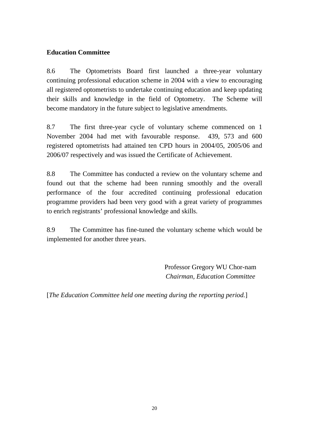## **Education Committee**

8.6 The Optometrists Board first launched a three-year voluntary continuing professional education scheme in 2004 with a view to encouraging all registered optometrists to undertake continuing education and keep updating their skills and knowledge in the field of Optometry. The Scheme will become mandatory in the future subject to legislative amendments.

8.7 The first three-year cycle of voluntary scheme commenced on 1 November 2004 had met with favourable response. 439, 573 and 600 registered optometrists had attained ten CPD hours in 2004/05, 2005/06 and 2006/07 respectively and was issued the Certificate of Achievement.

8.8 The Committee has conducted a review on the voluntary scheme and found out that the scheme had been running smoothly and the overall performance of the four accredited continuing professional education programme providers had been very good with a great variety of programmes to enrich registrants' professional knowledge and skills.

8.9 The Committee has fine-tuned the voluntary scheme which would be implemented for another three years.

> Professor Gregory WU Chor-nam *Chairman, Education Committee*

[*The Education Committee held one meeting during the reporting period.*]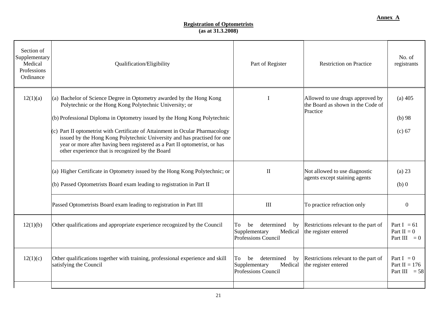#### **Registration of Optometrists (as at 31.3.2008)**

| Section of<br>Supplementary<br>Medical<br>Professions<br>Ordinance | Qualification/Eligibility                                                                                                                                                                                                                                                                                                                                                                                                                                                                                   | Part of Register                                                                | <b>Restriction on Practice</b>                                                    | No. of<br>registrants                              |
|--------------------------------------------------------------------|-------------------------------------------------------------------------------------------------------------------------------------------------------------------------------------------------------------------------------------------------------------------------------------------------------------------------------------------------------------------------------------------------------------------------------------------------------------------------------------------------------------|---------------------------------------------------------------------------------|-----------------------------------------------------------------------------------|----------------------------------------------------|
| 12(1)(a)                                                           | (a) Bachelor of Science Degree in Optometry awarded by the Hong Kong<br>Polytechnic or the Hong Kong Polytechnic University; or<br>(b) Professional Diploma in Optometry issued by the Hong Kong Polytechnic<br>(c) Part II optometrist with Certificate of Attainment in Ocular Pharmacology<br>issued by the Hong Kong Polytechnic University and has practised for one<br>year or more after having been registered as a Part II optometrist, or has<br>other experience that is recognized by the Board |                                                                                 | Allowed to use drugs approved by<br>the Board as shown in the Code of<br>Practice | $(a)$ 405<br>$(b)$ 98<br>(c) 67                    |
|                                                                    | (a) Higher Certificate in Optometry issued by the Hong Kong Polytechnic; or<br>(b) Passed Optometrists Board exam leading to registration in Part II                                                                                                                                                                                                                                                                                                                                                        | $\mathbf{I}$                                                                    | Not allowed to use diagnostic<br>agents except staining agents                    | $(a)$ 23<br>$(b)$ 0                                |
|                                                                    | Passed Optometrists Board exam leading to registration in Part III                                                                                                                                                                                                                                                                                                                                                                                                                                          | $\mathop{\mathrm{III}}\nolimits$                                                | To practice refraction only                                                       | $\overline{0}$                                     |
| 12(1)(b)                                                           | Other qualifications and appropriate experience recognized by the Council                                                                                                                                                                                                                                                                                                                                                                                                                                   | be<br>determined<br>by<br>To<br>Supplementary<br>Medical<br>Professions Council | Restrictions relevant to the part of<br>the register entered                      | Part I = $61$<br>Part $II = 0$<br>Part III $= 0$   |
| 12(1)(c)                                                           | Other qualifications together with training, professional experience and skill<br>satisfying the Council                                                                                                                                                                                                                                                                                                                                                                                                    | determined<br>To<br>be<br>by<br>Supplementary<br>Medical<br>Professions Council | Restrictions relevant to the part of<br>the register entered                      | Part $I = 0$<br>Part II = $176$<br>Part III $= 58$ |
|                                                                    |                                                                                                                                                                                                                                                                                                                                                                                                                                                                                                             |                                                                                 |                                                                                   |                                                    |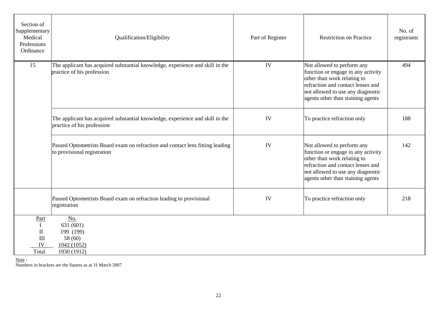| Section of<br>Supplementary<br>Medical<br>Professions<br>Ordinance | Qualification/Eligibility                                                                                    | Part of Register | <b>Restriction on Practice</b>                                                                                                                                                                                 | No. of<br>registrants |
|--------------------------------------------------------------------|--------------------------------------------------------------------------------------------------------------|------------------|----------------------------------------------------------------------------------------------------------------------------------------------------------------------------------------------------------------|-----------------------|
| 15                                                                 | The applicant has acquired substantial knowledge, experience and skill in the<br>practice of his profession  | IV               | Not allowed to perform any<br>function or engage in any activity<br>other than work relating to<br>refraction and contact lenses and<br>not allowed to use any diagnostic<br>agents other than staining agents | 494                   |
|                                                                    | The applicant has acquired substantial knowledge, experience and skill in the<br>practice of his profession  | IV               | To practice refraction only                                                                                                                                                                                    | 188                   |
|                                                                    | Passed Optometrists Board exam on refraction and contact lens fitting leading<br>to provisional registration | IV               | Not allowed to perform any<br>function or engage in any activity<br>other than work relating to<br>refraction and contact lenses and<br>not allowed to use any diagnostic<br>agents other than staining agents | 142                   |
|                                                                    | Passed Optometrists Board exam on refraction leading to provisional<br>registration                          | IV               | To practice refraction only                                                                                                                                                                                    | 218                   |
| Part<br>$\bf{I}$<br>$\mathbf{I}$<br>III<br>IV<br>Total             | No.<br>631 (601)<br>199 (199)<br>58 (60)<br>1042 (1052)<br>1930 (1912)                                       |                  |                                                                                                                                                                                                                |                       |

Note : Numbers in brackets are the figures as at 31 March 2007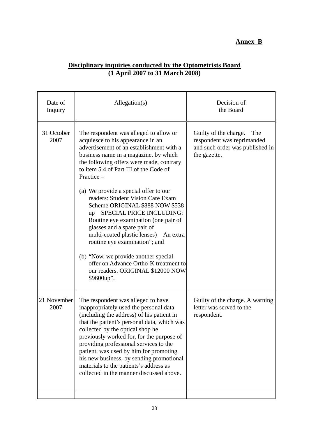# **Annex B**

|  |                                   | Disciplinary inquiries conducted by the Optometrists Board |  |
|--|-----------------------------------|------------------------------------------------------------|--|
|  | $(1$ April 2007 to 31 March 2008) |                                                            |  |

| Date of<br>Inquiry  | Allegation(s)                                                                                                                                                                                                                                                                                                                                                                                                                                                                   | Decision of<br>the Board                                                                                      |
|---------------------|---------------------------------------------------------------------------------------------------------------------------------------------------------------------------------------------------------------------------------------------------------------------------------------------------------------------------------------------------------------------------------------------------------------------------------------------------------------------------------|---------------------------------------------------------------------------------------------------------------|
| 31 October<br>2007  | The respondent was alleged to allow or<br>acquiesce to his appearance in an<br>advertisement of an establishment with a<br>business name in a magazine, by which<br>the following offers were made, contrary<br>to item 5.4 of Part III of the Code of<br>Practice -                                                                                                                                                                                                            | Guilty of the charge.<br>The<br>respondent was reprimanded<br>and such order was published in<br>the gazette. |
|                     | (a) We provide a special offer to our<br>readers: Student Vision Care Exam<br>Scheme ORIGINAL \$888 NOW \$538<br>SPECIAL PRICE INCLUDING:<br>up<br>Routine eye examination (one pair of<br>glasses and a spare pair of<br>multi-coated plastic lenses) An extra<br>routine eye examination"; and                                                                                                                                                                                |                                                                                                               |
|                     | (b) "Now, we provide another special<br>offer on Advance Ortho-K treatment to<br>our readers. ORIGINAL \$12000 NOW<br>\$9600up".                                                                                                                                                                                                                                                                                                                                                |                                                                                                               |
| 21 November<br>2007 | The respondent was alleged to have<br>inappropriately used the personal data<br>(including the address) of his patient in<br>that the patient's personal data, which was<br>collected by the optical shop he<br>previously worked for, for the purpose of<br>providing professional services to the<br>patient, was used by him for promoting<br>his new business, by sending promotional<br>materials to the patients's address as<br>collected in the manner discussed above. | Guilty of the charge. A warning<br>letter was served to the<br>respondent.                                    |